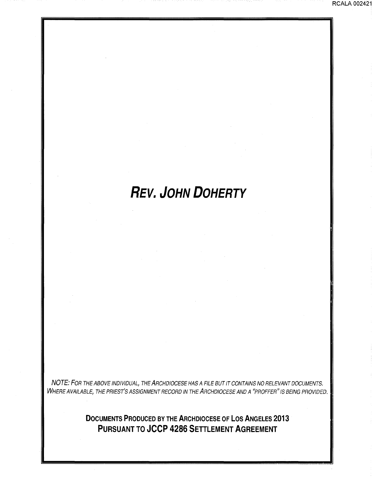# **REV. JOHN DOHERTY**

NOTE: FOR THE ABOVE INDIVIDUAL, THE ARCHDIOCESE HAS A FILE BUT IT CONTAINS NO RELEVANT DOCUMENTS. WHERE AVAILABLE, THE PRIEST'S ASSIGNMENT RECORD IN THE ARCHDIOCESE AND A "PROFFER" IS BEING PROVIDED.

> **DOCUMENTS PRODUCED BY THE ARCHDIOCESE OF LOS ANGELES 2013 PURSUANT TO JCCP 4286 SETTLEMENT AGREEMENT**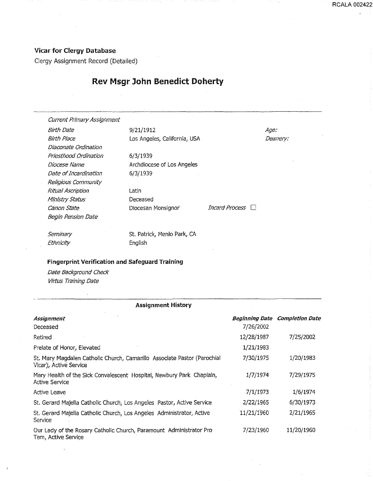#### Vicar for Clergy Database

Clergy Assignment Record (Detailed)

### Rev Msgr John Benedict Doherty

Current Primary Assignment

Diaconate Ordination Priesthood Ordination Diocese Name Date of Incardination Religious Community Ritual Ascription Ministry Status Canon State **Diocesan Monsignor** 1ncard Process D Begin Pension Date

Birth Date 9/21/1912 Birth Place **Los Angeles, California**, USA

> 6/3/1939 Archdiocese of Los Angeles 6/3/1939

Latin Deceased

Age: Deanery:

**Seminary** Ethnicity

St. Patrick, Menlo Park, CA English

#### Fingerprint Verification and Safeguard Training

-· ·--···----···-····------------------

Date. Background Check Virtus Training Date

| <b>Assignment History</b>                                                                          |                             |                        |
|----------------------------------------------------------------------------------------------------|-----------------------------|------------------------|
| Assignment<br>Deceased                                                                             | Beginning Date<br>7/26/2002 | <b>Completion Date</b> |
| Retired                                                                                            | 12/28/1987                  | 7/25/2002              |
| Prelate of Honor, Elevated                                                                         | 1/21/1983                   |                        |
| St. Mary Magdalen Catholic Church, Camarillo Associate Pastor (Parochial<br>Vicar), Active Service | 7/30/1975                   | 1/20/1983              |
| Mary Health of the Sick Convalescent Hospital, Newbury Park Chaplain,<br><b>Active Service</b>     | 1/7/1974                    | 7/29/1975              |
| Active Leave                                                                                       | 7/1/1973                    | 1/6/1974               |
| St. Gerard Majella Catholic Church, Los Angeles Pastor, Active Service                             | 2/22/1965                   | 6/30/1973              |
| St. Gerard Majella Catholic Church, Los Angeles Administrator, Active<br>Service                   | 11/21/1960                  | 2/21/1965              |
| Our Lady of the Rosary Catholic Church, Paramount Administrator Pro<br>Tem, Active Service         | 7/23/1960                   | 11/20/1960             |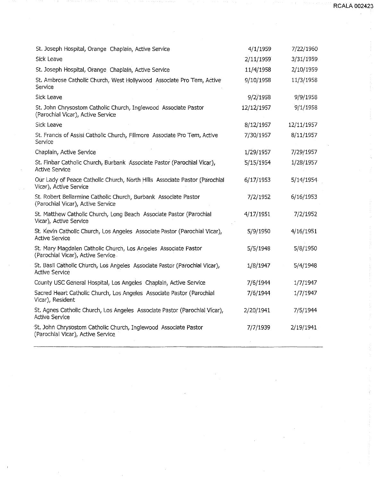**RCALA 002423** 

| St. Joseph Hospital, Orange Chaplain, Active Service                                                  | 4/1/1959   | 7/22/1960  |
|-------------------------------------------------------------------------------------------------------|------------|------------|
| Sick Leave                                                                                            | 2/11/1959  | 3/31/1959  |
| St. Joseph Hospital, Orange Chaplain, Active Service                                                  | 11/4/1958  | 2/10/1959  |
| St. Ambrose Catholic Church, West Hollywood Associate Pro Tem, Active<br>Service                      | 9/10/1958  | 11/3/1958  |
| Sick Leave                                                                                            | 9/2/1958   | 9/9/1958   |
| St. John Chrysostom Catholic Church, Inglewood Associate Pastor<br>(Parochial Vicar), Active Service  | 12/12/1957 | 9/1/1958   |
| Sick Leave                                                                                            | 8/12/1957  | 12/11/1957 |
| St. Francis of Assisi Catholic Church, Fillmore Associate Pro Tem, Active<br>Service                  | 7/30/1957  | 8/11/1957  |
| Chaplain, Active Service                                                                              | 1/29/1957  | 7/29/1957  |
| St. Finbar Catholic Church, Burbank Associate Pastor (Parochial Vicar),<br><b>Active Service</b>      | 5/15/1954  | 1/28/1957  |
| Our Lady of Peace Catholic Church, North Hills Associate Pastor (Parochial<br>Vicar), Active Service  | 6/17/1953  | 5/14/1954  |
| St. Robert Bellarmine Catholic Church, Burbank Associate Pastor<br>(Parochial Vicar), Active Service  | 7/2/1952   | 6/16/1953  |
| St. Matthew Catholic Church, Long Beach Associate Pastor (Parochial<br>Vicar), Active Service         | 4/17/1951  | 7/2/1952   |
| St. Kevin Catholic Church, Los Angeles Associate Pastor (Parochial Vicar),<br><b>Active Service</b>   | 5/9/1950   | 4/16/1951  |
| St. Mary Magdalen Catholic Church, Los Angeles Associate Pastor<br>(Parochial Vicar), Active Service. | 5/5/1948   | 5/8/1950   |
| St. Basil Catholic Church, Los Angeles Associate Pastor (Parochial Vicar),<br><b>Active Service</b>   | 1/8/1947   | 5/4/1948   |
| County USC General Hospital, Los Angeles Chaplain, Active Service                                     | 7/6/1944   | 1/7/1947   |
| Sacred Heart Catholic Church, Los Angeles Associate Pastor (Parochial<br>Vicar), Resident             | 7/6/1944   | 1/7/1947   |
| St. Agnes Catholic Church, Los Angeles Associate Pastor (Parochial Vicar),<br>Active Service          | 2/20/1941  | 7/5/1944   |
| St. John Chrysostom Catholic Church, Inglewood Associate Pastor<br>(Parochial Vicar), Active Service  | 7/7/1939   | 2/19/1941  |
|                                                                                                       |            |            |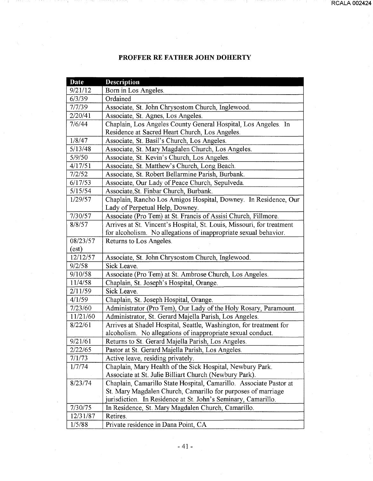## **PROFFER RE FATHER JOHN DOHERTY**

| <b>Date</b> | <b>Description</b>                                                    |
|-------------|-----------------------------------------------------------------------|
| 9/21/12     | Born in Los Angeles.                                                  |
| 6/3/39      | Ordained                                                              |
| 7/7/39      | Associate, St. John Chrysostom Church, Inglewood.                     |
| 2/20/41     | Associate, St. Agnes, Los Angeles.                                    |
| 7/6/44      | Chaplain, Los Angeles County General Hospital, Los Angeles. In        |
|             | Residence at Sacred Heart Church, Los Angeles.                        |
| 1/8/47      | Associate, St. Basil's Church, Los Angeles.                           |
| 5/13/48     | Associate, St. Mary Magdalen Church, Los Angeles.                     |
| 5/9/50      | Associate, St. Kevin's Church, Los Angeles.                           |
| 4/17/51     | Associate, St. Matthew's Church, Long Beach.                          |
| 7/2/52      | Associate, St. Robert Bellarmine Parish, Burbank.                     |
| 6/17/53     | Associate, Our Lady of Peace Church, Sepulveda.                       |
| 5/15/54     | Associate, St. Finbar Church, Burbank.                                |
| 1/29/57     | Chaplain, Rancho Los Amigos Hospital, Downey. In Residence, Our       |
|             | Lady of Perpetual Help, Downey.                                       |
| 7/30/57     | Associate (Pro Tem) at St. Francis of Assisi Church, Fillmore.        |
| 8/8/57      | Arrives at St. Vincent's Hospital, St. Louis, Missouri, for treatment |
|             | for alcoholism. No allegations of inappropriate sexual behavior.      |
| 08/23/57    | Returns to Los Angeles.                                               |
| (est)       |                                                                       |
| 12/12/57    | Associate, St. John Chrysostom Church, Inglewood.                     |
| 9/2/58      | Sick Leave.                                                           |
| 9/10/58     | Associate (Pro Tem) at St. Ambrose Church, Los Angeles.               |
| 11/4/58     | Chaplain, St. Joseph's Hospital, Orange.                              |
| 2/11/59     | Sick Leave.                                                           |
| 4/1/59      | Chaplain, St. Joseph Hospital, Orange.                                |
| 7/23/60     | Administrator (Pro Tem), Our Lady of the Holy Rosary, Paramount.      |
| 11/21/60    | Administrator, St. Gerard Majella Parish, Los Angeles.                |
| 8/22/61     | Arrives at Shadel Hospital, Seattle, Washington, for treatment for    |
|             | alcoholism. No allegations of inappropriate sexual conduct.           |
| 9/21/61     | Returns to St. Gerard Majella Parish, Los Angeles.                    |
| 2/22/65     | Pastor at St. Gerard Majella Parish, Los Angeles.                     |
| 7/1/73      | Active leave, residing privately.                                     |
| 1/7/74      | Chaplain, Mary Health of the Sick Hospital, Newbury Park.             |
|             | Associate at St. Julie Billiart Church (Newbury Park).                |
| 8/23/74     | Chaplain, Camarillo State Hospital, Camarillo. Associate Pastor at    |
|             | St. Mary Magdalen Church, Camarillo for purposes of marriage          |
|             | jurisdiction. In Residence at St. John's Seminary, Camarillo.         |
| 7/30/75     | In Residence, St. Mary Magdalen Church, Camarillo.                    |
| 12/31/87    | Retires.                                                              |
| 1/5/88      | Private residence in Dana Point, CA                                   |